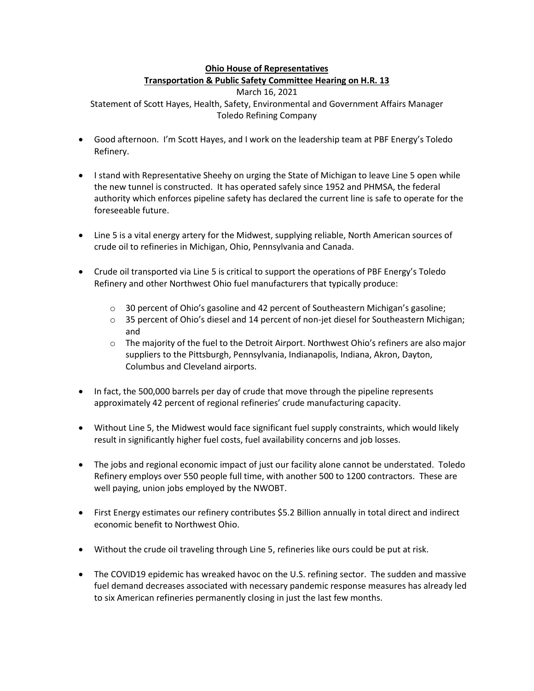## **Ohio House of Representatives Transportation & Public Safety Committee Hearing on H.R. 13**

March 16, 2021 Statement of Scott Hayes, Health, Safety, Environmental and Government Affairs Manager Toledo Refining Company

- Good afternoon. I'm Scott Hayes, and I work on the leadership team at PBF Energy's Toledo Refinery.
- I stand with Representative Sheehy on urging the State of Michigan to leave Line 5 open while the new tunnel is constructed. It has operated safely since 1952 and PHMSA, the federal authority which enforces pipeline safety has declared the current line is safe to operate for the foreseeable future.
- Line 5 is a vital energy artery for the Midwest, supplying reliable, North American sources of crude oil to refineries in Michigan, Ohio, Pennsylvania and Canada.
- Crude oil transported via Line 5 is critical to support the operations of PBF Energy's Toledo Refinery and other Northwest Ohio fuel manufacturers that typically produce:
	- $\circ$  30 percent of Ohio's gasoline and 42 percent of Southeastern Michigan's gasoline;
	- o 35 percent of Ohio's diesel and 14 percent of non-jet diesel for Southeastern Michigan; and
	- $\circ$  The majority of the fuel to the Detroit Airport. Northwest Ohio's refiners are also major suppliers to the Pittsburgh, Pennsylvania, Indianapolis, Indiana, Akron, Dayton, Columbus and Cleveland airports.
- In fact, the 500,000 barrels per day of crude that move through the pipeline represents approximately 42 percent of regional refineries' crude manufacturing capacity.
- Without Line 5, the Midwest would face significant fuel supply constraints, which would likely result in significantly higher fuel costs, fuel availability concerns and job losses.
- The jobs and regional economic impact of just our facility alone cannot be understated. Toledo Refinery employs over 550 people full time, with another 500 to 1200 contractors. These are well paying, union jobs employed by the NWOBT.
- First Energy estimates our refinery contributes \$5.2 Billion annually in total direct and indirect economic benefit to Northwest Ohio.
- Without the crude oil traveling through Line 5, refineries like ours could be put at risk.
- The COVID19 epidemic has wreaked havoc on the U.S. refining sector. The sudden and massive fuel demand decreases associated with necessary pandemic response measures has already led to six American refineries permanently closing in just the last few months.